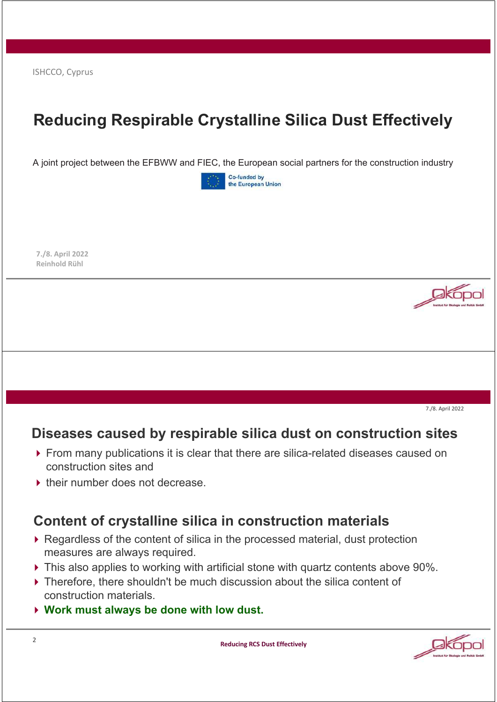## **Reducing Respirable Crystalline Silica Dust Effectively**

A joint project between the EFBWW and FIEC, the European social partners for the construction industry



**7./8. April 2022 Reinhold Rühl**



7./8. April 2022

### **Diseases caused by respirable silica dust on construction sites**

- ▶ From many publications it is clear that there are silica-related diseases caused on construction sites and
- ▶ their number does not decrease.

### **Content of crystalline silica in construction materials**

- ▶ Regardless of the content of silica in the processed material, dust protection measures are always required.
- ▶ This also applies to working with artificial stone with quartz contents above 90%.
- ▶ Therefore, there shouldn't be much discussion about the silica content of construction materials.
- **Work must always be done with low dust.**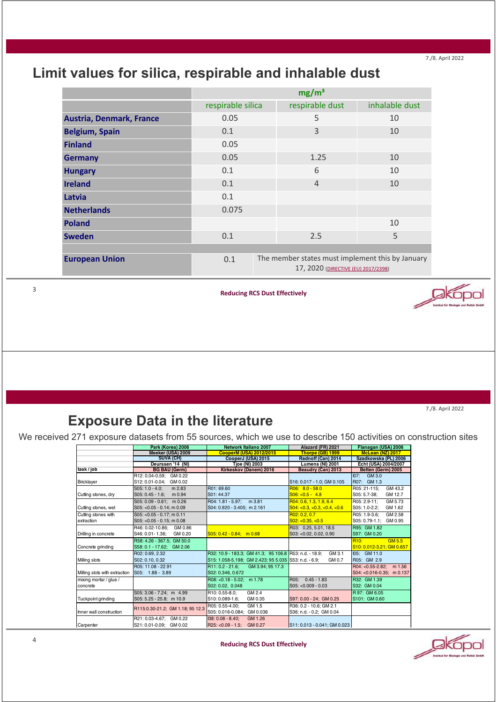## **Limit values for silica, respirable and inhalable dust**

|                                 | mg/m <sup>3</sup> |  |                                                                                         |                |  |  |
|---------------------------------|-------------------|--|-----------------------------------------------------------------------------------------|----------------|--|--|
|                                 | respirable silica |  | respirable dust                                                                         | inhalable dust |  |  |
| <b>Austria, Denmark, France</b> | 0.05              |  | 5                                                                                       | 10             |  |  |
| <b>Belgium, Spain</b>           | 0.1               |  | 3                                                                                       | 10             |  |  |
| <b>Finland</b>                  | 0.05              |  |                                                                                         |                |  |  |
| <b>Germany</b>                  | 0.05              |  | 1.25                                                                                    | 10             |  |  |
| <b>Hungary</b>                  | 0.1               |  | 6                                                                                       | 10             |  |  |
| <b>Ireland</b>                  | 0.1               |  | $\overline{4}$                                                                          | 10             |  |  |
| Latvia                          | 0.1               |  |                                                                                         |                |  |  |
| <b>Netherlands</b>              | 0.075             |  |                                                                                         |                |  |  |
| <b>Poland</b>                   |                   |  |                                                                                         | 10             |  |  |
| <b>Sweden</b>                   | 0.1               |  | 2.5                                                                                     | 5              |  |  |
|                                 |                   |  |                                                                                         |                |  |  |
| <b>European Union</b>           | 0.1               |  | The member states must implement this by January<br>17, 2020 (DIRECTIVE (EU) 2017/2398) |                |  |  |

3

**Reducing RCS Dust Effectively**



7./8. April 2022

## **Exposure Data in the literature**

We received 271 exposure datasets from 55 sources, which we use to describe 150 activities on construction sites

|                               | Park (Korea) 2006                | <b>Network Italiano 2007</b>                           | Alazard (FR) 2021            | Flanagan (USA) 2006              |
|-------------------------------|----------------------------------|--------------------------------------------------------|------------------------------|----------------------------------|
|                               | Meeker (USA) 2009                | <b>CooperM (USA) 2012/2015</b>                         | Thorpe (GB) 1999             | McLean (NZ) 2017                 |
|                               | SUVA (CH)                        | CooperJ (USA) 2015                                     | Radnoff (Can) 2014           | Szadkowska (PL) 2006             |
|                               | Deurssen '14 (NI)                | Tjoe (NI) 2003                                         | Lumens (NI) 2001             | Echt (USA) 2004/2007             |
| task/job                      | <b>BG BAU (Germ)</b>             | Kirkeskov (Danem) 2016                                 | Beaudry (Can) 2013           | Betten (Germ) 2005               |
|                               | R12: 0.04-0.59: GM 0.22          |                                                        |                              | 107:<br>GM 3.0                   |
| Bricklayer                    | GM 0.02<br>S12: 0.01-0.04;       |                                                        | S16: 0.017 - 1.0; GM 0.105   | R07: GM 1.3                      |
|                               | m 2.83<br>$S05: 1.0 - 4.0:$      | R01:69.60                                              | $RO6: 8.0 - 58.0$            | R05: 21-115:<br>GM 43.2          |
| Cutting stones, dry           | m 0.94<br>$SO5: 0.45 - 1.6$      | S01: 44.37                                             | $S06: <0.5 - 4.8$            | S05: 5.7-38:<br>GM 12.7          |
|                               | $S05: 0.09 - 0.61:$ m 0.26       | m 3.81<br>R04: 1.81 - 5.97;                            | R04: 0.6, 1.3, 1.9, 6.4      | R05: 2.9-11:<br>GM 5.73          |
| Cutting stones, wet           | $S05: <0.05 - 0.14$ ; m 0.09     | S04: 0.920 - 3.405: m 2.161                            | S04: <0.3, <0.3, <0.4, <0.6  | GM 1.62<br>S05: 1.0-2.2:         |
| Cutting stones with           | S05: < 0.05 - 0.17; m 0.11       |                                                        | R02: 0.2, 0.7                | GM 2.58<br>R05: 1.9-3.6:         |
| extraction                    | $SO5: < 0.05 - 0.15$ ; m 0.08    |                                                        | $S$ 02: < 0.35, < 0.5        | GM 0.95<br>S05: 0.79-1.1:        |
|                               | GM 0.86<br>R46: 0.02-10.86:      |                                                        | R03: 0.25, 5.01, 18.5        | R95: GM 1.82                     |
| Drilling in concrete          | GM 0.20<br>S46: 0.01-1.36:       | $S05: 0.42 - 0.84$ ; m 0.68                            | S03: < 0.02, 0.02, 0.90      | S97: GM 0.20                     |
|                               | R58: 4.26 - 367.5: GM 50.0       |                                                        |                              | R <sub>10</sub> :<br>GM 5.5      |
| Concrete grinding             | S58: 0.1 - 17.62; GM 2.06        |                                                        |                              | S10: 0.012-3.21; GM 0.657        |
|                               | R02: 0.69, 2.32                  | R32: 10.9 - 183.3; GM 41.3; 95 106.8 R53: n.d. - 18.9; | GM 3.1                       | I05: GM 11.0                     |
| Milling slots                 | S02: 0.10, 0.32                  | S15: 1.058-5.198; GM 2.423; 95 5.035 S53: n.d. - 6.9;  | GM 0.7                       | R05: GM 2.9                      |
|                               | R05: 11.08 - 22.91               | GM 3.94: 95 17.3<br>R11: 0.2 - 21.6:                   |                              | m 1.56<br>$R04: < 0.55 - 2.82$ : |
| Milling slots with extraction | S05: 1.88 - 3.89                 | S02: 0.346, 0.672                                      |                              | S04: < 0.016-0.35; m 0.137       |
| mixing mortar / glue /        |                                  | $R08: <0.18 - 5.02$ ; m 1.78                           | $0.45 - 1.83$<br>R05:        | R32: GM 1.39                     |
| concrete                      |                                  | S02: 0.02, 0.048                                       | $S05: < 0.009 - 0.03$        | S32: GM 0.04                     |
|                               | S05: 3.06 - 7.24; m 4.99         | GM 2.4<br>R10: 0.55-8.0:                               |                              | R 97: GM 6.05                    |
| Tuckpoint grinding            | S05: 5.25 - 25.8; m 10.9         | S10: 0.089-1.6;<br>GM 0.35                             | S97: 0.00 - 24; GM 0.25      | S101: GM 0.60                    |
|                               | R115:0.30-21.2; GM 1.18; 95 12.3 | GM 1.5<br>R05: 0.55-4.00:                              | R36: 0.2 - 10.6; GM 2.1      |                                  |
| Inner wall construction       |                                  | S05: 0.016-0.084: GM 0.036                             | S36: n.d. - 0.2; GM 0.04     |                                  |
|                               | R21: 0.03-4.67: GM 0.22          | $ 38:0.08 - 8.40 $<br>GM 1.26                          |                              |                                  |
| Carpenter                     | S21: 0.01-0.09: GM 0.02          | GM 0.27<br>R25: <0.09 - 1.5;                           | S11: 0.013 - 0.041; GM 0.023 |                                  |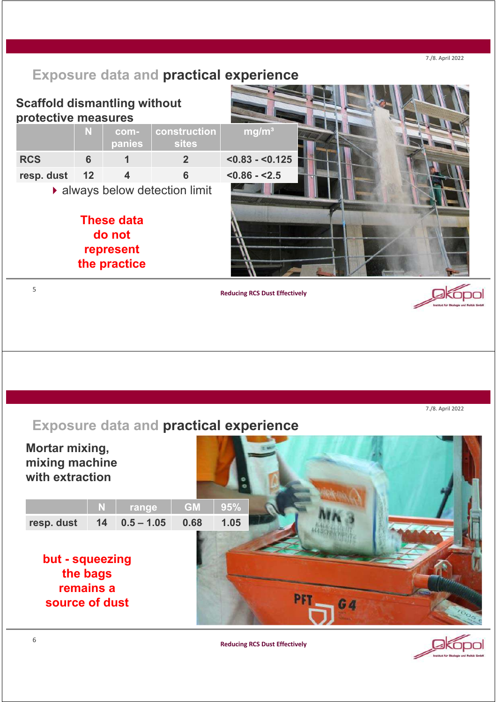### **Exposure data and practical experience**



**Exposure data and practical experience**



**Reducing RCS Dust Effectively**



7./8. April 2022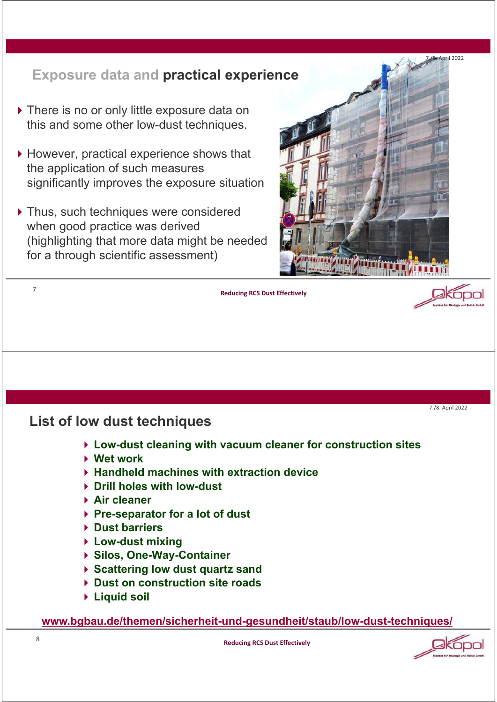# 7./8. April 2022 **Exposure data and practical experience** ▶ There is no or only little exposure data on this and some other low-dust techniques. However, practical experience shows that the application of such measures significantly improves the exposure situation ▶ Thus, such techniques were considered when good practice was derived (highlighting that more data might be needed for a through scientific assessment) 7 **Reducing RCS Dust Effectively** íono 7./8. April 2022 **List of low dust techniques Low-dust cleaning with vacuum cleaner for construction sites Wet work Handheld machines with extraction device Drill holes with low-dust Air cleaner Pre-separator for a lot of dust Dust barriers Low-dust mixing Silos, One-Way-Container Scattering low dust quartz sand Dust on construction site roads Liquid soil www.bgbau.de/themen/sicherheit-und-gesundheit/staub/low-dust-techniques/**8

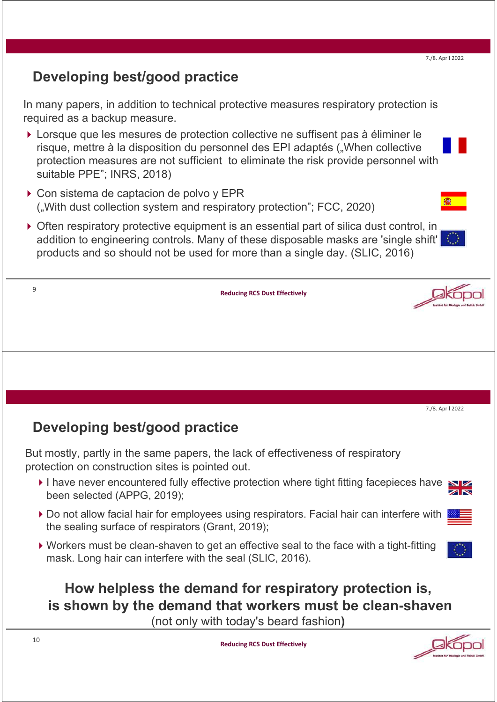### **Developing best/good practice**

In many papers, in addition to technical protective measures respiratory protection is required as a backup measure.

- Lorsque que les mesures de protection collective ne suffisent pas à éliminer le risque, mettre à la disposition du personnel des EPI adaptés ("When collective protection measures are not sufficient to eliminate the risk provide personnel with suitable PPE"; INRS, 2018)
- ▶ Con sistema de captacion de polvo y EPR ("With dust collection system and respiratory protection"; FCC, 2020)
- Often respiratory protective equipment is an essential part of silica dust control, in addition to engineering controls. Many of these disposable masks are 'single shift' in products and so should not be used for more than a single day. (SLIC, 2016)

| 9                                                                                                              | <b>Reducing RCS Dust Effectively</b>                                            |                  |
|----------------------------------------------------------------------------------------------------------------|---------------------------------------------------------------------------------|------------------|
|                                                                                                                |                                                                                 |                  |
|                                                                                                                |                                                                                 |                  |
|                                                                                                                |                                                                                 |                  |
| Developing best/good practice                                                                                  |                                                                                 | 7./8. April 2022 |
| in in a fact that is not considered and the state of the fact of the state of the state of the state of the st | But mostly, partly in the same papers, the lack of effectiveness of respiratory |                  |

protection on construction sites is pointed out.

- I have never encountered fully effective protection where tight fitting facepieces have NZ been selected (APPG, 2019);
- ▶ Do not allow facial hair for employees using respirators. Facial hair can interfere with the sealing surface of respirators (Grant, 2019);
- Workers must be clean-shaven to get an effective seal to the face with a tight-fitting mask. Long hair can interfere with the seal (SLIC, 2016).

## **How helpless the demand for respiratory protection is, is shown by the demand that workers must be clean-shaven**

**Rühl®**  (not only with today's beard fashion**)**

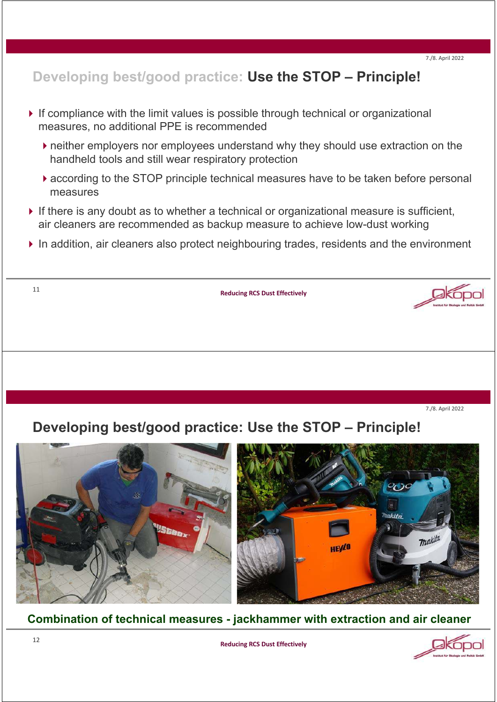## **Developing best/good practice: Use the STOP – Principle!**

- $\triangleright$  If compliance with the limit values is possible through technical or organizational measures, no additional PPE is recommended
	- neither employers nor employees understand why they should use extraction on the handheld tools and still wear respiratory protection
	- according to the STOP principle technical measures have to be taken before personal measures
- If there is any doubt as to whether a technical or organizational measure is sufficient, air cleaners are recommended as backup measure to achieve low-dust working
- In addition, air cleaners also protect neighbouring trades, residents and the environment

11

**Reducing RCS Dust Effectively**

7./8. April 2022

## **Developing best/good practice: Use the STOP – Principle!**



**Combination of technical measures - jackhammer with extraction and air cleaner** 

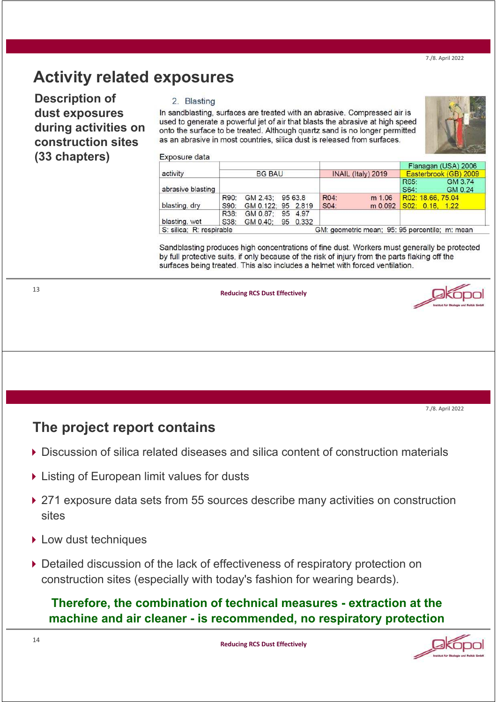## **Activity related exposures**

**Description of dust exposures during activities on construction sites (33 chapters)**

#### 2. Blasting

In sandblasting, surfaces are treated with an abrasive. Compressed air is used to generate a powerful jet of air that blasts the abrasive at high speed onto the surface to be treated. Although quartz sand is no longer permitted as an abrasive in most countries, silica dust is released from surfaces.



|                   |               |                    |  |                    |      |                       |                   | Flanagan (USA) 2006 |
|-------------------|---------------|--------------------|--|--------------------|------|-----------------------|-------------------|---------------------|
| activity          | <b>BG BAU</b> |                    |  | INAIL (Italy) 2019 |      | Easterbrook (GB) 2009 |                   |                     |
| abrasive blasting |               |                    |  |                    |      |                       | R65:<br>S64:      | GM 3.74<br>GM 0.24  |
|                   | R90:          | GM 2.43: 95 63.8   |  |                    | R04: | m 1.06                | R02: 18.66, 75.04 |                     |
| blasting, dry     | S90:          | GM 0.122; 95 2.819 |  |                    | S04: | m 0.092               | S02: 0.16, 1.22   |                     |
|                   | R38:          | GM 0.87: 95 4.97   |  |                    |      |                       |                   |                     |
| blasting, wet     | S38:          | GM 0.40:           |  | 95 0.332           |      |                       |                   |                     |

Sandblasting produces high concentrations of fine dust. Workers must generally be protected by full protective suits, if only because of the risk of injury from the parts flaking off the surfaces being treated. This also includes a helmet with forced ventilation.

**Reducing RCS Dust Effectively**



7./8. April 2022

### **The project report contains**

- Discussion of silica related diseases and silica content of construction materials
- ▶ Listing of European limit values for dusts
- ▶ 271 exposure data sets from 55 sources describe many activities on construction sites
- ▶ Low dust techniques
- Detailed discussion of the lack of effectiveness of respiratory protection on construction sites (especially with today's fashion for wearing beards).

### **Rühl® machine and air cleaner - is recommended, no respiratory protection Therefore, the combination of technical measures - extraction at the**



13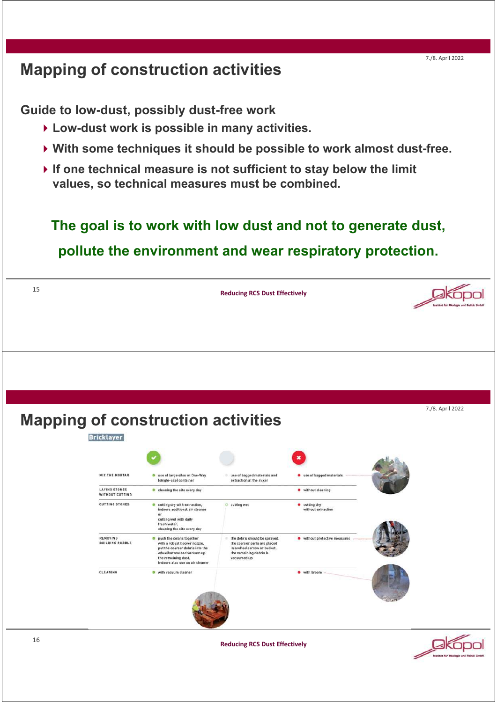## **Mapping of construction activities**

**Guide to low-dust, possibly dust-free work**

- **Low-dust work is possible in many activities.**
- **With some techniques it should be possible to work almost dust-free.**
- **If one technical measure is not sufficient to stay below the limit values, so technical measures must be combined.**

# **The goal is to work with low dust and not to generate dust, pollute the environment and wear respiratory protection.**

| 15 |                                         | <b>Reducing RCS Dust Effectively</b>                                                                                                                                               |                                                                                                                                        |                                     |  |                  |  |  |
|----|-----------------------------------------|------------------------------------------------------------------------------------------------------------------------------------------------------------------------------------|----------------------------------------------------------------------------------------------------------------------------------------|-------------------------------------|--|------------------|--|--|
|    |                                         |                                                                                                                                                                                    |                                                                                                                                        |                                     |  |                  |  |  |
|    |                                         |                                                                                                                                                                                    |                                                                                                                                        |                                     |  |                  |  |  |
|    |                                         |                                                                                                                                                                                    |                                                                                                                                        |                                     |  | 7./8. April 2022 |  |  |
|    |                                         | <b>Mapping of construction activities</b>                                                                                                                                          |                                                                                                                                        |                                     |  |                  |  |  |
|    | <b>Bricklayer</b>                       |                                                                                                                                                                                    |                                                                                                                                        |                                     |  |                  |  |  |
|    | <b>MIX THE MORTAR</b>                   | <b>O</b> use of large silos or One-Way                                                                                                                                             | use of bagged materials and                                                                                                            | · use of bagged materials           |  |                  |  |  |
|    | <b>LAYING STONES</b><br>WITHOUT CUTTING | [single-use] container<br>cleaning the site every day                                                                                                                              | extraction at the mixer                                                                                                                | · without cleaning                  |  |                  |  |  |
|    | <b>CUTTING STONES</b>                   | cutting dry with extraction,<br>indoors additional air cleaner<br>or<br>cutting wet with daily<br>fresh water;<br>cleaning the site every day                                      | C cutting wet                                                                                                                          | · cutting dry<br>without extraction |  |                  |  |  |
|    | REMOVING<br><b>BUILDING RUBBLE</b>      | push the debris together<br>with a robust hoover nozzle,<br>put the coarser debris into the<br>wheelbarrow and vacuum up<br>the remaining dust.<br>Indoors also use an air cleaner | the debris should be sprayed,<br>the coarser parts are placed<br>in a wheelbarrow or bucket,<br>the remaining debris is<br>vacuumed up | without protective measures         |  |                  |  |  |
|    | CLEANING                                | with vacuum cleaner                                                                                                                                                                |                                                                                                                                        | with broom                          |  |                  |  |  |
|    |                                         |                                                                                                                                                                                    |                                                                                                                                        |                                     |  |                  |  |  |
| 16 |                                         | И                                                                                                                                                                                  |                                                                                                                                        |                                     |  |                  |  |  |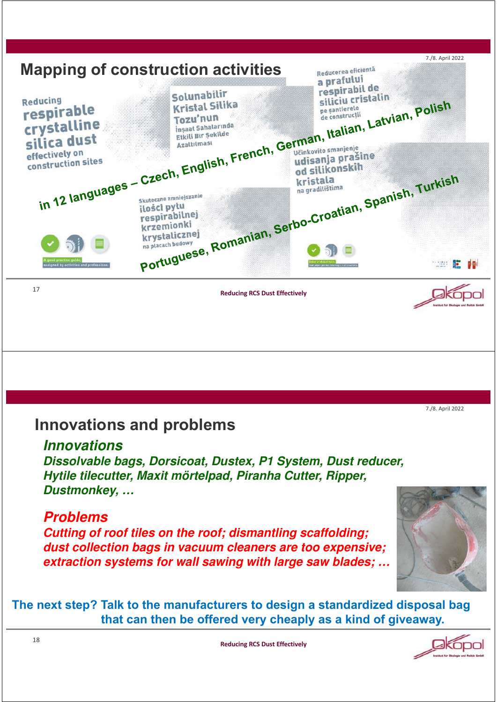

## **Innovations and problems**

### **Innovations**

**Dissolvable bags, Dorsicoat, Dustex, P1 System, Dust reducer, Hytile tilecutter, Maxit mörtelpad, Piranha Cutter, Ripper, Dustmonkey, …**

### **Problems**

**Cutting of roof tiles on the roof; dismantling scaffolding; dust collection bags in vacuum cleaners are too expensive; extraction systems for wall sawing with large saw blades; …** 



**The next step? Talk to the manufacturers to design a standardized disposal bag that can then be offered very cheaply as a kind of giveaway.**